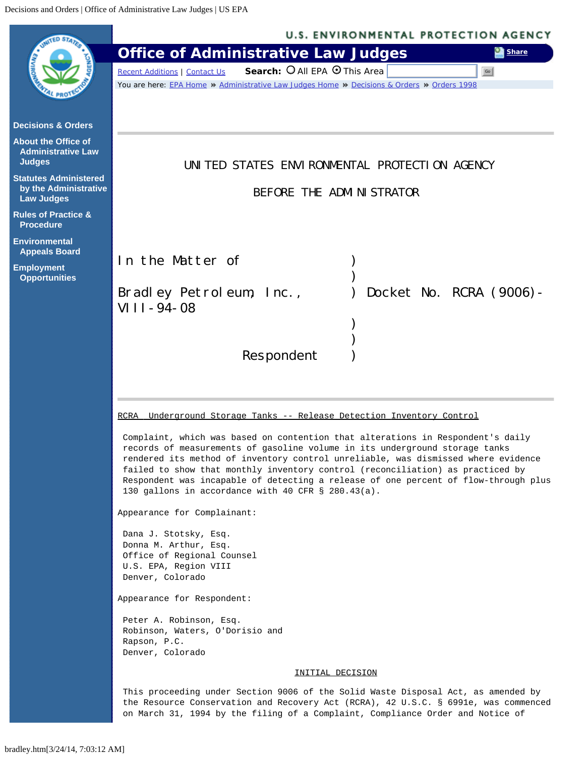<span id="page-0-0"></span>

| <b>MTED STAR</b>                                                           | <b>U.S. ENVIRONMENTAL PROTECTION AGENCY</b>                                                                                                                                                                                                                                                                                                                                                                                                                                        |  |  |  |  |
|----------------------------------------------------------------------------|------------------------------------------------------------------------------------------------------------------------------------------------------------------------------------------------------------------------------------------------------------------------------------------------------------------------------------------------------------------------------------------------------------------------------------------------------------------------------------|--|--|--|--|
|                                                                            | <b>Office of Administrative Law Judges</b><br><b>Ex Share</b>                                                                                                                                                                                                                                                                                                                                                                                                                      |  |  |  |  |
|                                                                            | Search: O All EPA O This Area<br>Go<br>Recent Additions   Contact Us                                                                                                                                                                                                                                                                                                                                                                                                               |  |  |  |  |
|                                                                            | You are here: EPA Home » Administrative Law Judges Home » Decisions & Orders » Orders 1998                                                                                                                                                                                                                                                                                                                                                                                         |  |  |  |  |
| <b>Decisions &amp; Orders</b>                                              |                                                                                                                                                                                                                                                                                                                                                                                                                                                                                    |  |  |  |  |
| <b>About the Office of</b><br><b>Administrative Law</b><br><b>Judges</b>   | UNITED STATES ENVIRONMENTAL PROTECTION AGENCY                                                                                                                                                                                                                                                                                                                                                                                                                                      |  |  |  |  |
| <b>Statutes Administered</b><br>by the Administrative<br><b>Law Judges</b> | BEFORE THE ADMINISTRATOR                                                                                                                                                                                                                                                                                                                                                                                                                                                           |  |  |  |  |
| <b>Rules of Practice &amp;</b><br><b>Procedure</b>                         |                                                                                                                                                                                                                                                                                                                                                                                                                                                                                    |  |  |  |  |
| <b>Environmental</b><br><b>Appeals Board</b>                               | In the Matter of                                                                                                                                                                                                                                                                                                                                                                                                                                                                   |  |  |  |  |
| <b>Employment</b><br><b>Opportunities</b>                                  |                                                                                                                                                                                                                                                                                                                                                                                                                                                                                    |  |  |  |  |
|                                                                            | Docket No. RCRA (9006)-<br>Bradley Petroleum, Inc.,                                                                                                                                                                                                                                                                                                                                                                                                                                |  |  |  |  |
|                                                                            | VIII-94-08                                                                                                                                                                                                                                                                                                                                                                                                                                                                         |  |  |  |  |
|                                                                            |                                                                                                                                                                                                                                                                                                                                                                                                                                                                                    |  |  |  |  |
|                                                                            | Respondent                                                                                                                                                                                                                                                                                                                                                                                                                                                                         |  |  |  |  |
|                                                                            |                                                                                                                                                                                                                                                                                                                                                                                                                                                                                    |  |  |  |  |
|                                                                            |                                                                                                                                                                                                                                                                                                                                                                                                                                                                                    |  |  |  |  |
|                                                                            | Underground Storage Tanks -- Release Detection Inventory Control<br>RCRA                                                                                                                                                                                                                                                                                                                                                                                                           |  |  |  |  |
|                                                                            | Complaint, which was based on contention that alterations in Respondent's daily<br>records of measurements of gasoline volume in its underground storage tanks<br>rendered its method of inventory control unreliable, was dismissed where evidence<br>failed to show that monthly inventory control (reconciliation) as practiced by<br>Respondent was incapable of detecting a release of one percent of flow-through plus<br>130 gallons in accordance with 40 CFR § 280.43(a). |  |  |  |  |
|                                                                            | Appearance for Complainant:                                                                                                                                                                                                                                                                                                                                                                                                                                                        |  |  |  |  |
|                                                                            | Dana J. Stotsky, Esq.                                                                                                                                                                                                                                                                                                                                                                                                                                                              |  |  |  |  |
|                                                                            | Donna M. Arthur, Esq.<br>Office of Regional Counsel                                                                                                                                                                                                                                                                                                                                                                                                                                |  |  |  |  |
|                                                                            | U.S. EPA, Region VIII<br>Denver, Colorado                                                                                                                                                                                                                                                                                                                                                                                                                                          |  |  |  |  |
|                                                                            | Appearance for Respondent:                                                                                                                                                                                                                                                                                                                                                                                                                                                         |  |  |  |  |
|                                                                            | Peter A. Robinson, Esq.<br>Robinson, Waters, O'Dorisio and<br>Rapson, P.C.                                                                                                                                                                                                                                                                                                                                                                                                         |  |  |  |  |
|                                                                            | Denver, Colorado                                                                                                                                                                                                                                                                                                                                                                                                                                                                   |  |  |  |  |
|                                                                            | INITIAL DECISION                                                                                                                                                                                                                                                                                                                                                                                                                                                                   |  |  |  |  |
|                                                                            | This proceeding under Section 9006 of the Solid Waste Disposal Act, as amended by<br>the Resource Conservation and Recovery Act (RCRA), 42 U.S.C. § 6991e, was commenced<br>on March 31, 1994 by the filing of a Complaint, Compliance Order and Notice of                                                                                                                                                                                                                         |  |  |  |  |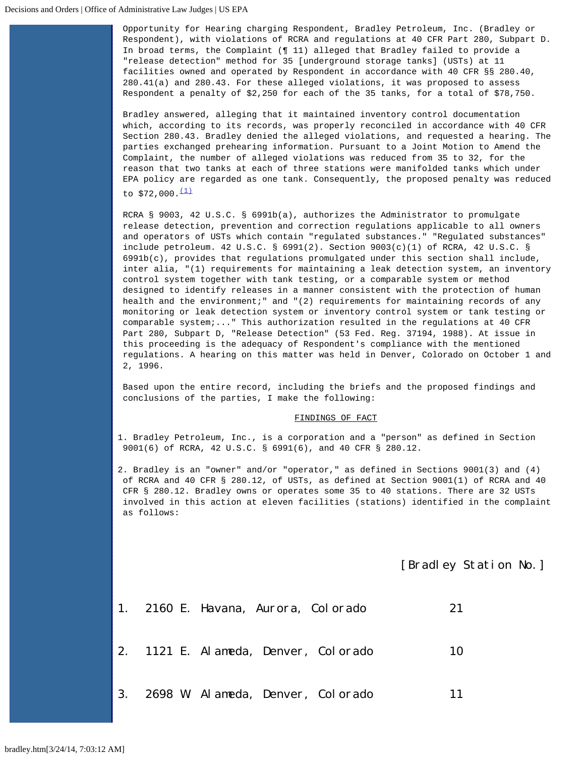Opportunity for Hearing charging Respondent, Bradley Petroleum, Inc. (Bradley or Respondent), with violations of RCRA and regulations at 40 CFR Part 280, Subpart D. In broad terms, the Complaint (¶ 11) alleged that Bradley failed to provide a "release detection" method for 35 [underground storage tanks] (USTs) at 11 facilities owned and operated by Respondent in accordance with 40 CFR §§ 280.40, 280.41(a) and 280.43. For these alleged violations, it was proposed to assess Respondent a penalty of \$2,250 for each of the 35 tanks, for a total of \$78,750.

Bradley answered, alleging that it maintained inventory control documentation which, according to its records, was properly reconciled in accordance with 40 CFR Section 280.43. Bradley denied the alleged violations, and requested a hearing. The parties exchanged prehearing information. Pursuant to a Joint Motion to Amend the Complaint, the number of alleged violations was reduced from 35 to 32, for the reason that two tanks at each of three stations were manifolded tanks which under EPA policy are regarded as one tank. Consequently, the proposed penalty was reduced to  $$72,000.\frac{(1)}{1}$  $$72,000.\frac{(1)}{1}$  $$72,000.\frac{(1)}{1}$ 

RCRA § 9003, 42 U.S.C. § 6991b(a), authorizes the Administrator to promulgate release detection, prevention and correction regulations applicable to all owners and operators of USTs which contain "regulated substances." "Regulated substances" include petroleum. 42 U.S.C. § 6991(2). Section 9003(c)(1) of RCRA, 42 U.S.C. § 6991b(c), provides that regulations promulgated under this section shall include, inter alia, "(1) requirements for maintaining a leak detection system, an inventory control system together with tank testing, or a comparable system or method designed to identify releases in a manner consistent with the protection of human health and the environment;" and "(2) requirements for maintaining records of any monitoring or leak detection system or inventory control system or tank testing or comparable system;..." This authorization resulted in the regulations at 40 CFR Part 280, Subpart D, "Release Detection" (53 Fed. Reg. 37194, 1988). At issue in this proceeding is the adequacy of Respondent's compliance with the mentioned regulations. A hearing on this matter was held in Denver, Colorado on October 1 and 2, 1996.

Based upon the entire record, including the briefs and the proposed findings and conclusions of the parties, I make the following:

## FINDINGS OF FACT

1. Bradley Petroleum, Inc., is a corporation and a "person" as defined in Section 9001(6) of RCRA, 42 U.S.C. § 6991(6), and 40 CFR § 280.12.

2. Bradley is an "owner" and/or "operator," as defined in Sections 9001(3) and (4) of RCRA and 40 CFR § 280.12, of USTs, as defined at Section 9001(1) of RCRA and 40 CFR § 280.12. Bradley owns or operates some 35 to 40 stations. There are 32 USTs involved in this action at eleven facilities (stations) identified in the complaint as follows:

[Bradley Station No.]

|  | 1. 2160 E. Havana, Aurora, Colorado |                                      | 21 |
|--|-------------------------------------|--------------------------------------|----|
|  |                                     | 2. 1121 E. Alameda, Denver, Colorado | 10 |
|  |                                     | 3. 2698 W. Alameda, Denver, Colorado | 11 |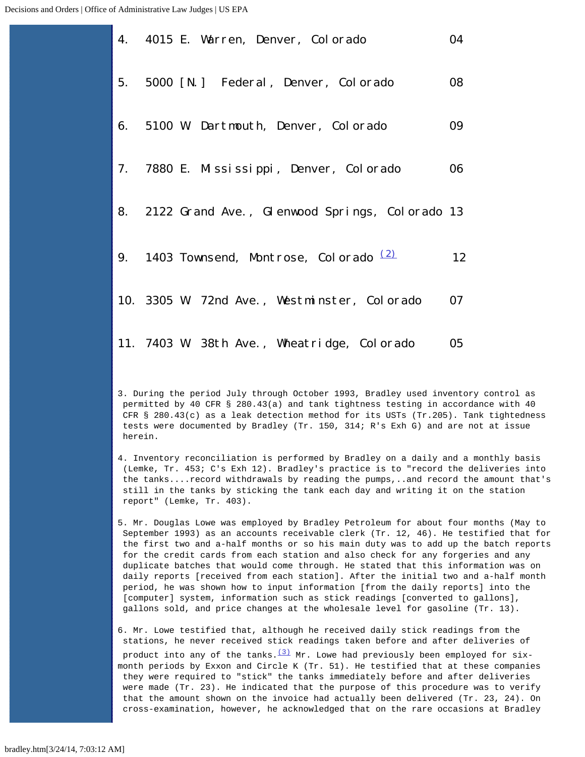|  | 4. 4015 E. Warren, Denver, Colorado                | 04 |
|--|----------------------------------------------------|----|
|  | 5. 5000 [N.] Federal, Denver, Colorado             | 08 |
|  | 6. 5100 W. Dartmouth, Denver, Colorado             | 09 |
|  | 7. 7880 E. Mississippi, Denver, Colorado           | 06 |
|  | 8. 2122 Grand Ave., Glenwood Springs, Colorado 13  |    |
|  | 9. 1403 Townsend, Montrose, Colorado <sup>12</sup> | 12 |
|  | 10. 3305 W. 72nd Ave., Westminster, Colorado       | 07 |
|  | 11. 7403 W. 38th Ave., Wheatridge, Colorado        | 05 |

3. During the period July through October 1993, Bradley used inventory control as permitted by 40 CFR § 280.43(a) and tank tightness testing in accordance with 40 CFR § 280.43(c) as a leak detection method for its USTs (Tr.205). Tank tightedness tests were documented by Bradley (Tr. 150, 314; R's Exh G) and are not at issue herein.

- 4. Inventory reconciliation is performed by Bradley on a daily and a monthly basis (Lemke, Tr. 453; C's Exh 12). Bradley's practice is to "record the deliveries into the tanks....record withdrawals by reading the pumps,..and record the amount that's still in the tanks by sticking the tank each day and writing it on the station report" (Lemke, Tr. 403).
- 5. Mr. Douglas Lowe was employed by Bradley Petroleum for about four months (May to September 1993) as an accounts receivable clerk (Tr. 12, 46). He testified that for the first two and a-half months or so his main duty was to add up the batch reports for the credit cards from each station and also check for any forgeries and any duplicate batches that would come through. He stated that this information was on daily reports [received from each station]. After the initial two and a-half month period, he was shown how to input information [from the daily reports] into the [computer] system, information such as stick readings [converted to gallons], gallons sold, and price changes at the wholesale level for gasoline (Tr. 13).

6. Mr. Lowe testified that, although he received daily stick readings from the stations, he never received stick readings taken before and after deliveries of

product into any of the tanks. $(3)$  Mr. Lowe had previously been employed for sixmonth periods by Exxon and Circle K (Tr. 51). He testified that at these companies they were required to "stick" the tanks immediately before and after deliveries were made (Tr. 23). He indicated that the purpose of this procedure was to verify that the amount shown on the invoice had actually been delivered (Tr. 23, 24). On cross-examination, however, he acknowledged that on the rare occasions at Bradley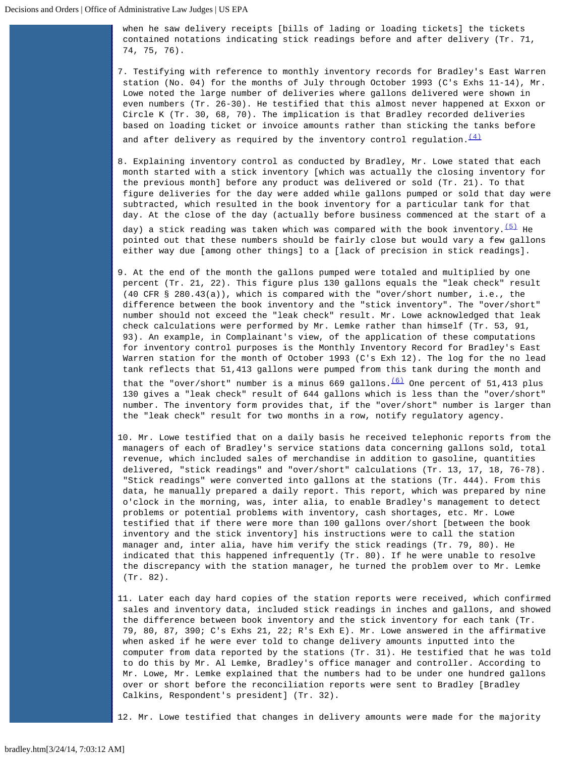when he saw delivery receipts [bills of lading or loading tickets] the tickets contained notations indicating stick readings before and after delivery (Tr. 71, 74, 75, 76).

7. Testifying with reference to monthly inventory records for Bradley's East Warren station (No. 04) for the months of July through October 1993 (C's Exhs 11-14), Mr. Lowe noted the large number of deliveries where gallons delivered were shown in even numbers (Tr. 26-30). He testified that this almost never happened at Exxon or Circle K (Tr. 30, 68, 70). The implication is that Bradley recorded deliveries based on loading ticket or invoice amounts rather than sticking the tanks before

and after delivery as required by the inventory control regulation.  $\frac{(4)}{(4)}$  $\frac{(4)}{(4)}$  $\frac{(4)}{(4)}$ 

- 8. Explaining inventory control as conducted by Bradley, Mr. Lowe stated that each month started with a stick inventory [which was actually the closing inventory for the previous month] before any product was delivered or sold (Tr. 21). To that figure deliveries for the day were added while gallons pumped or sold that day were subtracted, which resulted in the book inventory for a particular tank for that day. At the close of the day (actually before business commenced at the start of a day) a stick reading was taken which was compared with the book inventory.  $(5)$  He pointed out that these numbers should be fairly close but would vary a few gallons either way due [among other things] to a [lack of precision in stick readings].
- 9. At the end of the month the gallons pumped were totaled and multiplied by one percent (Tr. 21, 22). This figure plus 130 gallons equals the "leak check" result (40 CFR § 280.43(a)), which is compared with the "over/short number, i.e., the difference between the book inventory and the "stick inventory". The "over/short" number should not exceed the "leak check" result. Mr. Lowe acknowledged that leak check calculations were performed by Mr. Lemke rather than himself (Tr. 53, 91, 93). An example, in Complainant's view, of the application of these computations for inventory control purposes is the Monthly Inventory Record for Bradley's East Warren station for the month of October 1993 (C's Exh 12). The log for the no lead tank reflects that 51,413 gallons were pumped from this tank during the month and that the "over/short" number is a minus 669 gallons. $(6)$  One percent of 51,413 plus 130 gives a "leak check" result of 644 gallons which is less than the "over/short" number. The inventory form provides that, if the "over/short" number is larger than the "leak check" result for two months in a row, notify regulatory agency.
- 10. Mr. Lowe testified that on a daily basis he received telephonic reports from the managers of each of Bradley's service stations data concerning gallons sold, total revenue, which included sales of merchandise in addition to gasoline, quantities delivered, "stick readings" and "over/short" calculations (Tr. 13, 17, 18, 76-78). "Stick readings" were converted into gallons at the stations (Tr. 444). From this data, he manually prepared a daily report. This report, which was prepared by nine o'clock in the morning, was, inter alia, to enable Bradley's management to detect problems or potential problems with inventory, cash shortages, etc. Mr. Lowe testified that if there were more than 100 gallons over/short [between the book inventory and the stick inventory] his instructions were to call the station manager and, inter alia, have him verify the stick readings (Tr. 79, 80). He indicated that this happened infrequently (Tr. 80). If he were unable to resolve the discrepancy with the station manager, he turned the problem over to Mr. Lemke (Tr. 82).
- 11. Later each day hard copies of the station reports were received, which confirmed sales and inventory data, included stick readings in inches and gallons, and showed the difference between book inventory and the stick inventory for each tank (Tr. 79, 80, 87, 390; C's Exhs 21, 22; R's Exh E). Mr. Lowe answered in the affirmative when asked if he were ever told to change delivery amounts inputted into the computer from data reported by the stations (Tr. 31). He testified that he was told to do this by Mr. Al Lemke, Bradley's office manager and controller. According to Mr. Lowe, Mr. Lemke explained that the numbers had to be under one hundred gallons over or short before the reconciliation reports were sent to Bradley [Bradley Calkins, Respondent's president] (Tr. 32).

12. Mr. Lowe testified that changes in delivery amounts were made for the majority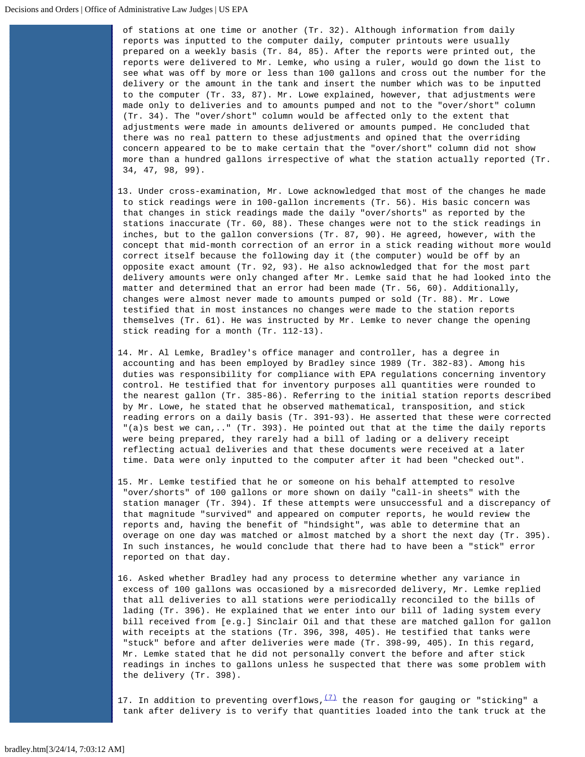of stations at one time or another (Tr. 32). Although information from daily reports was inputted to the computer daily, computer printouts were usually prepared on a weekly basis (Tr. 84, 85). After the reports were printed out, the reports were delivered to Mr. Lemke, who using a ruler, would go down the list to see what was off by more or less than 100 gallons and cross out the number for the delivery or the amount in the tank and insert the number which was to be inputted to the computer (Tr. 33, 87). Mr. Lowe explained, however, that adjustments were made only to deliveries and to amounts pumped and not to the "over/short" column (Tr. 34). The "over/short" column would be affected only to the extent that adjustments were made in amounts delivered or amounts pumped. He concluded that there was no real pattern to these adjustments and opined that the overriding concern appeared to be to make certain that the "over/short" column did not show more than a hundred gallons irrespective of what the station actually reported (Tr. 34, 47, 98, 99).

- 13. Under cross-examination, Mr. Lowe acknowledged that most of the changes he made to stick readings were in 100-gallon increments (Tr. 56). His basic concern was that changes in stick readings made the daily "over/shorts" as reported by the stations inaccurate (Tr. 60, 88). These changes were not to the stick readings in inches, but to the gallon conversions (Tr. 87, 90). He agreed, however, with the concept that mid-month correction of an error in a stick reading without more would correct itself because the following day it (the computer) would be off by an opposite exact amount (Tr. 92, 93). He also acknowledged that for the most part delivery amounts were only changed after Mr. Lemke said that he had looked into the matter and determined that an error had been made (Tr. 56, 60). Additionally, changes were almost never made to amounts pumped or sold (Tr. 88). Mr. Lowe testified that in most instances no changes were made to the station reports themselves (Tr. 61). He was instructed by Mr. Lemke to never change the opening stick reading for a month (Tr. 112-13).
- 14. Mr. Al Lemke, Bradley's office manager and controller, has a degree in accounting and has been employed by Bradley since 1989 (Tr. 382-83). Among his duties was responsibility for compliance with EPA regulations concerning inventory control. He testified that for inventory purposes all quantities were rounded to the nearest gallon (Tr. 385-86). Referring to the initial station reports described by Mr. Lowe, he stated that he observed mathematical, transposition, and stick reading errors on a daily basis (Tr. 391-93). He asserted that these were corrected "(a)s best we can,.." (Tr. 393). He pointed out that at the time the daily reports were being prepared, they rarely had a bill of lading or a delivery receipt reflecting actual deliveries and that these documents were received at a later time. Data were only inputted to the computer after it had been "checked out".
- 15. Mr. Lemke testified that he or someone on his behalf attempted to resolve "over/shorts" of 100 gallons or more shown on daily "call-in sheets" with the station manager (Tr. 394). If these attempts were unsuccessful and a discrepancy of that magnitude "survived" and appeared on computer reports, he would review the reports and, having the benefit of "hindsight", was able to determine that an overage on one day was matched or almost matched by a short the next day (Tr. 395). In such instances, he would conclude that there had to have been a "stick" error reported on that day.
- 16. Asked whether Bradley had any process to determine whether any variance in excess of 100 gallons was occasioned by a misrecorded delivery, Mr. Lemke replied that all deliveries to all stations were periodically reconciled to the bills of lading (Tr. 396). He explained that we enter into our bill of lading system every bill received from [e.g.] Sinclair Oil and that these are matched gallon for gallon with receipts at the stations (Tr. 396, 398, 405). He testified that tanks were "stuck" before and after deliveries were made (Tr. 398-99, 405). In this regard, Mr. Lemke stated that he did not personally convert the before and after stick readings in inches to gallons unless he suspected that there was some problem with the delivery (Tr. 398).

17. In addition to preventing overflows,  $\frac{(7)}{1}$  $\frac{(7)}{1}$  $\frac{(7)}{1}$  the reason for gauging or "sticking" a tank after delivery is to verify that quantities loaded into the tank truck at the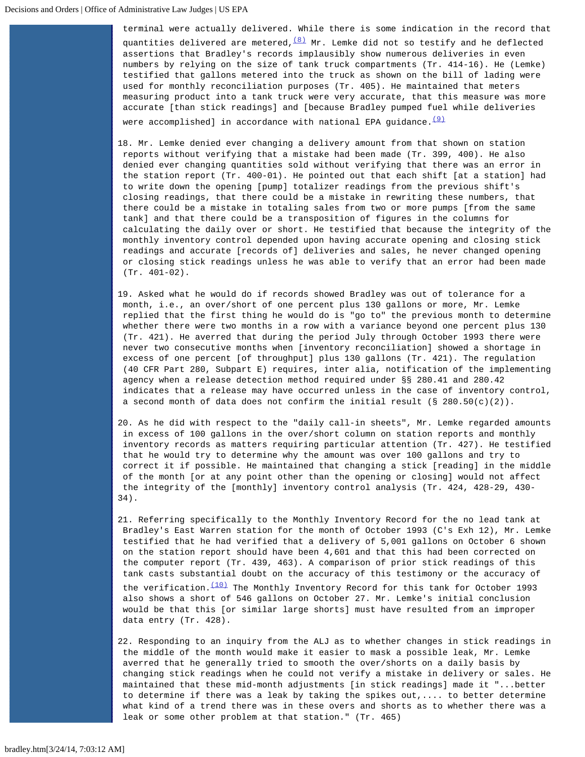terminal were actually delivered. While there is some indication in the record that quantities delivered are metered,  $\frac{8}{10}$  Mr. Lemke did not so testify and he deflected assertions that Bradley's records implausibly show numerous deliveries in even numbers by relying on the size of tank truck compartments (Tr. 414-16). He (Lemke) testified that gallons metered into the truck as shown on the bill of lading were used for monthly reconciliation purposes (Tr. 405). He maintained that meters measuring product into a tank truck were very accurate, that this measure was more accurate [than stick readings] and [because Bradley pumped fuel while deliveries were accomplished] in accordance with national EPA guidance. $(9)$ 

- 18. Mr. Lemke denied ever changing a delivery amount from that shown on station reports without verifying that a mistake had been made (Tr. 399, 400). He also denied ever changing quantities sold without verifying that there was an error in the station report (Tr. 400-01). He pointed out that each shift [at a station] had to write down the opening [pump] totalizer readings from the previous shift's closing readings, that there could be a mistake in rewriting these numbers, that there could be a mistake in totaling sales from two or more pumps [from the same tank] and that there could be a transposition of figures in the columns for calculating the daily over or short. He testified that because the integrity of the monthly inventory control depended upon having accurate opening and closing stick readings and accurate [records of] deliveries and sales, he never changed opening or closing stick readings unless he was able to verify that an error had been made (Tr. 401-02).
- 19. Asked what he would do if records showed Bradley was out of tolerance for a month, i.e., an over/short of one percent plus 130 gallons or more, Mr. Lemke replied that the first thing he would do is "go to" the previous month to determine whether there were two months in a row with a variance beyond one percent plus 130 (Tr. 421). He averred that during the period July through October 1993 there were never two consecutive months when [inventory reconciliation] showed a shortage in excess of one percent [of throughput] plus 130 gallons (Tr. 421). The regulation (40 CFR Part 280, Subpart E) requires, inter alia, notification of the implementing agency when a release detection method required under §§ 280.41 and 280.42 indicates that a release may have occurred unless in the case of inventory control, a second month of data does not confirm the initial result (§ 280.50(c)(2)).
- 20. As he did with respect to the "daily call-in sheets", Mr. Lemke regarded amounts in excess of 100 gallons in the over/short column on station reports and monthly inventory records as matters requiring particular attention (Tr. 427). He testified that he would try to determine why the amount was over 100 gallons and try to correct it if possible. He maintained that changing a stick [reading] in the middle of the month [or at any point other than the opening or closing] would not affect the integrity of the [monthly] inventory control analysis (Tr. 424, 428-29, 430- 34).
- 21. Referring specifically to the Monthly Inventory Record for the no lead tank at Bradley's East Warren station for the month of October 1993 (C's Exh 12), Mr. Lemke testified that he had verified that a delivery of 5,001 gallons on October 6 shown on the station report should have been 4,601 and that this had been corrected on the computer report (Tr. 439, 463). A comparison of prior stick readings of this tank casts substantial doubt on the accuracy of this testimony or the accuracy of the verification. $(10)$  The Monthly Inventory Record for this tank for October 1993 also shows a short of 546 gallons on October 27. Mr. Lemke's initial conclusion would be that this [or similar large shorts] must have resulted from an improper data entry (Tr. 428).
- 22. Responding to an inquiry from the ALJ as to whether changes in stick readings in the middle of the month would make it easier to mask a possible leak, Mr. Lemke averred that he generally tried to smooth the over/shorts on a daily basis by changing stick readings when he could not verify a mistake in delivery or sales. He maintained that these mid-month adjustments [in stick readings] made it "...better to determine if there was a leak by taking the spikes out,.... to better determine what kind of a trend there was in these overs and shorts as to whether there was a leak or some other problem at that station." (Tr. 465)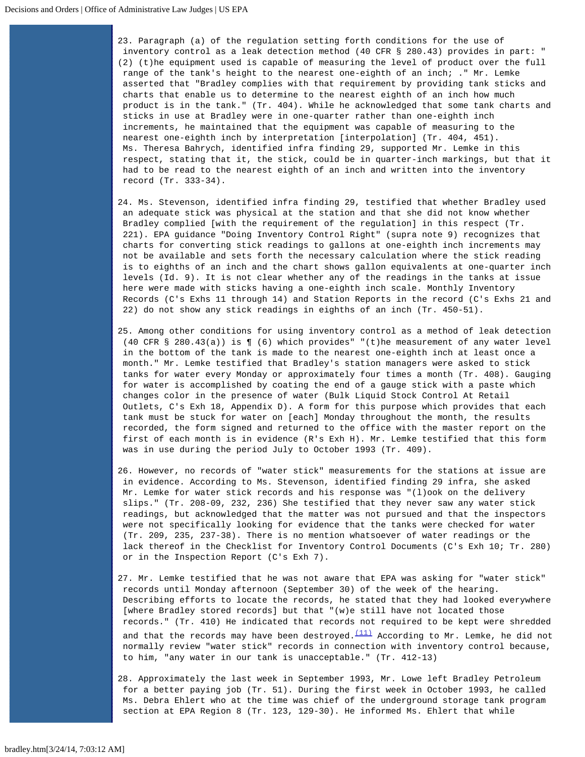23. Paragraph (a) of the regulation setting forth conditions for the use of inventory control as a leak detection method (40 CFR § 280.43) provides in part: " (2) (t)he equipment used is capable of measuring the level of product over the full range of the tank's height to the nearest one-eighth of an inch; ." Mr. Lemke asserted that "Bradley complies with that requirement by providing tank sticks and charts that enable us to determine to the nearest eighth of an inch how much product is in the tank." (Tr. 404). While he acknowledged that some tank charts and sticks in use at Bradley were in one-quarter rather than one-eighth inch increments, he maintained that the equipment was capable of measuring to the nearest one-eighth inch by interpretation [interpolation] (Tr. 404, 451). Ms. Theresa Bahrych, identified infra finding 29, supported Mr. Lemke in this respect, stating that it, the stick, could be in quarter-inch markings, but that it had to be read to the nearest eighth of an inch and written into the inventory record (Tr. 333-34).

- 24. Ms. Stevenson, identified infra finding 29, testified that whether Bradley used an adequate stick was physical at the station and that she did not know whether Bradley complied [with the requirement of the regulation] in this respect (Tr. 221). EPA guidance "Doing Inventory Control Right" (supra note 9) recognizes that charts for converting stick readings to gallons at one-eighth inch increments may not be available and sets forth the necessary calculation where the stick reading is to eighths of an inch and the chart shows gallon equivalents at one-quarter inch levels (Id. 9). It is not clear whether any of the readings in the tanks at issue here were made with sticks having a one-eighth inch scale. Monthly Inventory Records (C's Exhs 11 through 14) and Station Reports in the record (C's Exhs 21 and 22) do not show any stick readings in eighths of an inch (Tr. 450-51).
- 25. Among other conditions for using inventory control as a method of leak detection (40 CFR § 280.43(a)) is ¶ (6) which provides" "(t)he measurement of any water level in the bottom of the tank is made to the nearest one-eighth inch at least once a month." Mr. Lemke testified that Bradley's station managers were asked to stick tanks for water every Monday or approximately four times a month (Tr. 408). Gauging for water is accomplished by coating the end of a gauge stick with a paste which changes color in the presence of water (Bulk Liquid Stock Control At Retail Outlets, C's Exh 18, Appendix D). A form for this purpose which provides that each tank must be stuck for water on [each] Monday throughout the month, the results recorded, the form signed and returned to the office with the master report on the first of each month is in evidence (R's Exh H). Mr. Lemke testified that this form was in use during the period July to October 1993 (Tr. 409).
- 26. However, no records of "water stick" measurements for the stations at issue are in evidence. According to Ms. Stevenson, identified finding 29 infra, she asked Mr. Lemke for water stick records and his response was "(l)ook on the delivery slips." (Tr. 208-09, 232, 236) She testified that they never saw any water stick readings, but acknowledged that the matter was not pursued and that the inspectors were not specifically looking for evidence that the tanks were checked for water (Tr. 209, 235, 237-38). There is no mention whatsoever of water readings or the lack thereof in the Checklist for Inventory Control Documents (C's Exh 10; Tr. 280) or in the Inspection Report (C's Exh 7).
- 27. Mr. Lemke testified that he was not aware that EPA was asking for "water stick" records until Monday afternoon (September 30) of the week of the hearing. Describing efforts to locate the records, he stated that they had looked everywhere [where Bradley stored records] but that "(w)e still have not located those records." (Tr. 410) He indicated that records not required to be kept were shredded and that the records may have been destroyed. $\frac{(11)}{2}$  $\frac{(11)}{2}$  $\frac{(11)}{2}$  According to Mr. Lemke, he did not normally review "water stick" records in connection with inventory control because, to him, "any water in our tank is unacceptable." (Tr. 412-13)
- 28. Approximately the last week in September 1993, Mr. Lowe left Bradley Petroleum for a better paying job (Tr. 51). During the first week in October 1993, he called Ms. Debra Ehlert who at the time was chief of the underground storage tank program section at EPA Region 8 (Tr. 123, 129-30). He informed Ms. Ehlert that while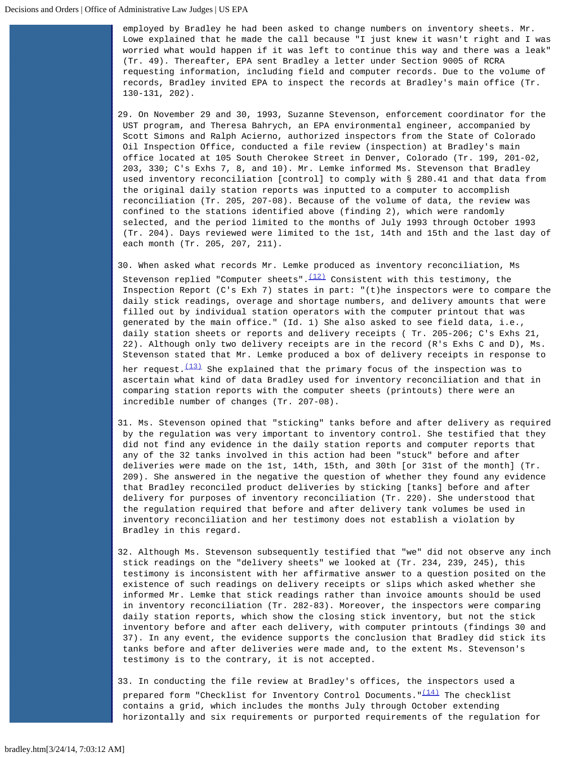employed by Bradley he had been asked to change numbers on inventory sheets. Mr. Lowe explained that he made the call because "I just knew it wasn't right and I was worried what would happen if it was left to continue this way and there was a leak" (Tr. 49). Thereafter, EPA sent Bradley a letter under Section 9005 of RCRA requesting information, including field and computer records. Due to the volume of records, Bradley invited EPA to inspect the records at Bradley's main office (Tr. 130-131, 202).

29. On November 29 and 30, 1993, Suzanne Stevenson, enforcement coordinator for the UST program, and Theresa Bahrych, an EPA environmental engineer, accompanied by Scott Simons and Ralph Acierno, authorized inspectors from the State of Colorado Oil Inspection Office, conducted a file review (inspection) at Bradley's main office located at 105 South Cherokee Street in Denver, Colorado (Tr. 199, 201-02, 203, 330; C's Exhs 7, 8, and 10). Mr. Lemke informed Ms. Stevenson that Bradley used inventory reconciliation [control] to comply with § 280.41 and that data from the original daily station reports was inputted to a computer to accomplish reconciliation (Tr. 205, 207-08). Because of the volume of data, the review was confined to the stations identified above (finding 2), which were randomly selected, and the period limited to the months of July 1993 through October 1993 (Tr. 204). Days reviewed were limited to the 1st, 14th and 15th and the last day of each month (Tr. 205, 207, 211).

30. When asked what records Mr. Lemke produced as inventory reconciliation, Ms

Stevenson replied "Computer sheets". $\frac{(12)}{2}$  $\frac{(12)}{2}$  $\frac{(12)}{2}$  Consistent with this testimony, the Inspection Report (C's Exh 7) states in part: "(t)he inspectors were to compare the daily stick readings, overage and shortage numbers, and delivery amounts that were filled out by individual station operators with the computer printout that was generated by the main office." (Id. 1) She also asked to see field data, i.e., daily station sheets or reports and delivery receipts ( Tr. 205-206; C's Exhs 21, 22). Although only two delivery receipts are in the record (R's Exhs C and D), Ms. Stevenson stated that Mr. Lemke produced a box of delivery receipts in response to

her request. $\frac{(13)}{3}$  $\frac{(13)}{3}$  $\frac{(13)}{3}$  She explained that the primary focus of the inspection was to ascertain what kind of data Bradley used for inventory reconciliation and that in comparing station reports with the computer sheets (printouts) there were an incredible number of changes (Tr. 207-08).

- 31. Ms. Stevenson opined that "sticking" tanks before and after delivery as required by the regulation was very important to inventory control. She testified that they did not find any evidence in the daily station reports and computer reports that any of the 32 tanks involved in this action had been "stuck" before and after deliveries were made on the 1st, 14th, 15th, and 30th [or 31st of the month] (Tr. 209). She answered in the negative the question of whether they found any evidence that Bradley reconciled product deliveries by sticking [tanks] before and after delivery for purposes of inventory reconciliation (Tr. 220). She understood that the regulation required that before and after delivery tank volumes be used in inventory reconciliation and her testimony does not establish a violation by Bradley in this regard.
- 32. Although Ms. Stevenson subsequently testified that "we" did not observe any inch stick readings on the "delivery sheets" we looked at (Tr. 234, 239, 245), this testimony is inconsistent with her affirmative answer to a question posited on the existence of such readings on delivery receipts or slips which asked whether she informed Mr. Lemke that stick readings rather than invoice amounts should be used in inventory reconciliation (Tr. 282-83). Moreover, the inspectors were comparing daily station reports, which show the closing stick inventory, but not the stick inventory before and after each delivery, with computer printouts (findings 30 and 37). In any event, the evidence supports the conclusion that Bradley did stick its tanks before and after deliveries were made and, to the extent Ms. Stevenson's testimony is to the contrary, it is not accepted.

33. In conducting the file review at Bradley's offices, the inspectors used a prepared form "Checklist for Inventory Control Documents." $\frac{(14)}{14}$  $\frac{(14)}{14}$  $\frac{(14)}{14}$  The checklist contains a grid, which includes the months July through October extending horizontally and six requirements or purported requirements of the regulation for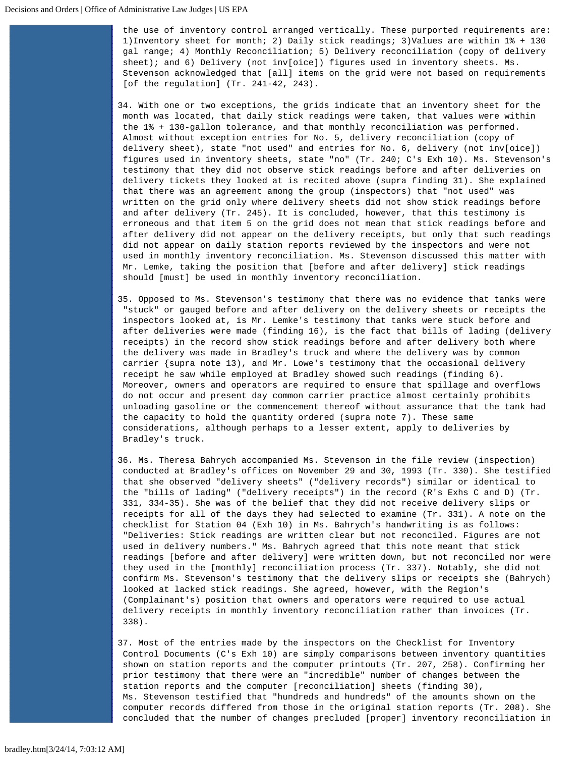the use of inventory control arranged vertically. These purported requirements are: 1)Inventory sheet for month; 2) Daily stick readings; 3)Values are within 1% + 130 gal range; 4) Monthly Reconciliation; 5) Delivery reconciliation (copy of delivery sheet); and 6) Delivery (not inv[oice]) figures used in inventory sheets. Ms. Stevenson acknowledged that [all] items on the grid were not based on requirements [of the regulation] (Tr. 241-42, 243).

34. With one or two exceptions, the grids indicate that an inventory sheet for the month was located, that daily stick readings were taken, that values were within the 1% + 130-gallon tolerance, and that monthly reconciliation was performed. Almost without exception entries for No. 5, delivery reconciliation (copy of delivery sheet), state "not used" and entries for No. 6, delivery (not inv[oice]) figures used in inventory sheets, state "no" (Tr. 240; C's Exh 10). Ms. Stevenson's testimony that they did not observe stick readings before and after deliveries on delivery tickets they looked at is recited above (supra finding 31). She explained that there was an agreement among the group (inspectors) that "not used" was written on the grid only where delivery sheets did not show stick readings before and after delivery (Tr. 245). It is concluded, however, that this testimony is erroneous and that item 5 on the grid does not mean that stick readings before and after delivery did not appear on the delivery receipts, but only that such readings did not appear on daily station reports reviewed by the inspectors and were not used in monthly inventory reconciliation. Ms. Stevenson discussed this matter with Mr. Lemke, taking the position that [before and after delivery] stick readings should [must] be used in monthly inventory reconciliation.

- 35. Opposed to Ms. Stevenson's testimony that there was no evidence that tanks were "stuck" or gauged before and after delivery on the delivery sheets or receipts the inspectors looked at, is Mr. Lemke's testimony that tanks were stuck before and after deliveries were made (finding 16), is the fact that bills of lading (delivery receipts) in the record show stick readings before and after delivery both where the delivery was made in Bradley's truck and where the delivery was by common carrier {supra note 13), and Mr. Lowe's testimony that the occasional delivery receipt he saw while employed at Bradley showed such readings (finding 6). Moreover, owners and operators are required to ensure that spillage and overflows do not occur and present day common carrier practice almost certainly prohibits unloading gasoline or the commencement thereof without assurance that the tank had the capacity to hold the quantity ordered (supra note 7). These same considerations, although perhaps to a lesser extent, apply to deliveries by Bradley's truck.
- 36. Ms. Theresa Bahrych accompanied Ms. Stevenson in the file review (inspection) conducted at Bradley's offices on November 29 and 30, 1993 (Tr. 330). She testified that she observed "delivery sheets" ("delivery records") similar or identical to the "bills of lading" ("delivery receipts") in the record (R's Exhs C and D) (Tr. 331, 334-35). She was of the belief that they did not receive delivery slips or receipts for all of the days they had selected to examine (Tr. 331). A note on the checklist for Station 04 (Exh 10) in Ms. Bahrych's handwriting is as follows: "Deliveries: Stick readings are written clear but not reconciled. Figures are not used in delivery numbers." Ms. Bahrych agreed that this note meant that stick readings [before and after delivery] were written down, but not reconciled nor were they used in the [monthly] reconciliation process (Tr. 337). Notably, she did not confirm Ms. Stevenson's testimony that the delivery slips or receipts she (Bahrych) looked at lacked stick readings. She agreed, however, with the Region's (Complainant's) position that owners and operators were required to use actual delivery receipts in monthly inventory reconciliation rather than invoices (Tr. 338).

37. Most of the entries made by the inspectors on the Checklist for Inventory Control Documents (C's Exh 10) are simply comparisons between inventory quantities shown on station reports and the computer printouts (Tr. 207, 258). Confirming her prior testimony that there were an "incredible" number of changes between the station reports and the computer [reconciliation] sheets (finding 30), Ms. Stevenson testified that "hundreds and hundreds" of the amounts shown on the computer records differed from those in the original station reports (Tr. 208). She concluded that the number of changes precluded [proper] inventory reconciliation in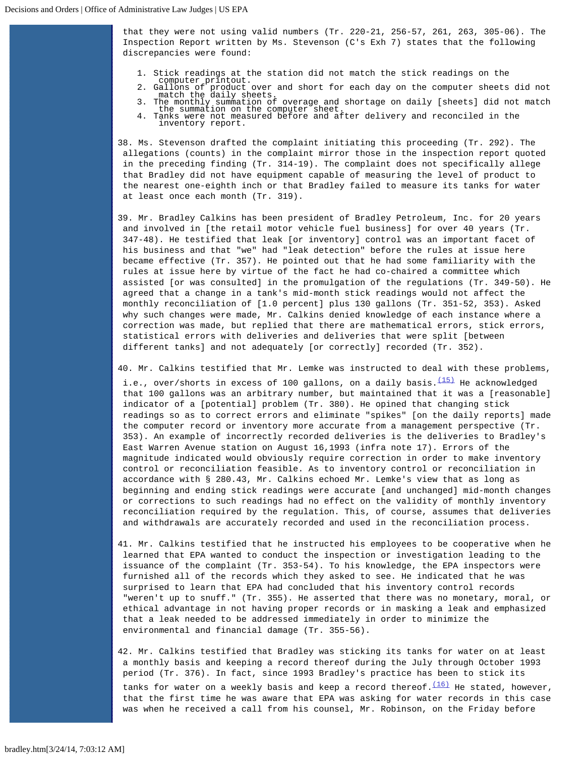that they were not using valid numbers (Tr. 220-21, 256-57, 261, 263, 305-06). The Inspection Report written by Ms. Stevenson (C's Exh 7) states that the following discrepancies were found:

- 1. Stick readings at the station did not match the stick readings on the
- computer printout. 2. Gallons of product over and short for each day on the computer sheets did not match the daily sheets.
- - 3. The monthly summation of overage and shortage on daily [sheets] did not match the summation on the computer sheet. 4. Tanks were not measured before and after delivery and reconciled in the inventory report.

38. Ms. Stevenson drafted the complaint initiating this proceeding (Tr. 292). The allegations (counts) in the complaint mirror those in the inspection report quoted in the preceding finding (Tr. 314-19). The complaint does not specifically allege that Bradley did not have equipment capable of measuring the level of product to the nearest one-eighth inch or that Bradley failed to measure its tanks for water at least once each month (Tr. 319).

- 39. Mr. Bradley Calkins has been president of Bradley Petroleum, Inc. for 20 years and involved in [the retail motor vehicle fuel business] for over 40 years (Tr. 347-48). He testified that leak [or inventory] control was an important facet of his business and that "we" had "leak detection" before the rules at issue here became effective (Tr. 357). He pointed out that he had some familiarity with the rules at issue here by virtue of the fact he had co-chaired a committee which assisted [or was consulted] in the promulgation of the regulations (Tr. 349-50). He agreed that a change in a tank's mid-month stick readings would not affect the monthly reconciliation of [1.0 percent] plus 130 gallons (Tr. 351-52, 353). Asked why such changes were made, Mr. Calkins denied knowledge of each instance where a correction was made, but replied that there are mathematical errors, stick errors, statistical errors with deliveries and deliveries that were split [between different tanks] and not adequately [or correctly] recorded (Tr. 352).
- 40. Mr. Calkins testified that Mr. Lemke was instructed to deal with these problems, i.e., over/shorts in excess of 100 gallons, on a daily basis. $\frac{(15)}{(15)}$  $\frac{(15)}{(15)}$  $\frac{(15)}{(15)}$  He acknowledged that 100 gallons was an arbitrary number, but maintained that it was a [reasonable] indicator of a [potential] problem (Tr. 380). He opined that changing stick readings so as to correct errors and eliminate "spikes" [on the daily reports] made the computer record or inventory more accurate from a management perspective (Tr. 353). An example of incorrectly recorded deliveries is the deliveries to Bradley's East Warren Avenue station on August 16,1993 (infra note 17). Errors of the magnitude indicated would obviously require correction in order to make inventory control or reconciliation feasible. As to inventory control or reconciliation in accordance with § 280.43, Mr. Calkins echoed Mr. Lemke's view that as long as beginning and ending stick readings were accurate [and unchanged] mid-month changes or corrections to such readings had no effect on the validity of monthly inventory reconciliation required by the regulation. This, of course, assumes that deliveries and withdrawals are accurately recorded and used in the reconciliation process.
- 41. Mr. Calkins testified that he instructed his employees to be cooperative when he learned that EPA wanted to conduct the inspection or investigation leading to the issuance of the complaint (Tr. 353-54). To his knowledge, the EPA inspectors were furnished all of the records which they asked to see. He indicated that he was surprised to learn that EPA had concluded that his inventory control records "weren't up to snuff." (Tr. 355). He asserted that there was no monetary, moral, or ethical advantage in not having proper records or in masking a leak and emphasized that a leak needed to be addressed immediately in order to minimize the environmental and financial damage (Tr. 355-56).
- 42. Mr. Calkins testified that Bradley was sticking its tanks for water on at least a monthly basis and keeping a record thereof during the July through October 1993 period (Tr. 376). In fact, since 1993 Bradley's practice has been to stick its

tanks for water on a weekly basis and keep a record thereof.  $\frac{(16)}{16}$  $\frac{(16)}{16}$  $\frac{(16)}{16}$  He stated, however, that the first time he was aware that EPA was asking for water records in this case was when he received a call from his counsel, Mr. Robinson, on the Friday before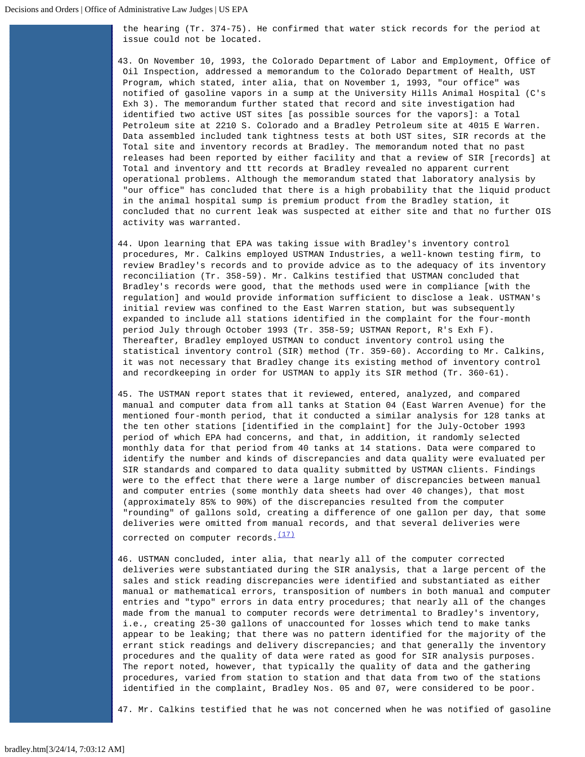the hearing (Tr. 374-75). He confirmed that water stick records for the period at issue could not be located.

43. On November 10, 1993, the Colorado Department of Labor and Employment, Office of Oil Inspection, addressed a memorandum to the Colorado Department of Health, UST Program, which stated, inter alia, that on November 1, 1993, "our office" was notified of gasoline vapors in a sump at the University Hills Animal Hospital (C's Exh 3). The memorandum further stated that record and site investigation had identified two active UST sites [as possible sources for the vapors]: a Total Petroleum site at 2210 S. Colorado and a Bradley Petroleum site at 4015 E Warren. Data assembled included tank tightness tests at both UST sites, SIR records at the Total site and inventory records at Bradley. The memorandum noted that no past releases had been reported by either facility and that a review of SIR [records] at Total and inventory and ttt records at Bradley revealed no apparent current operational problems. Although the memorandum stated that laboratory analysis by "our office" has concluded that there is a high probability that the liquid product in the animal hospital sump is premium product from the Bradley station, it concluded that no current leak was suspected at either site and that no further OIS activity was warranted.

- 44. Upon learning that EPA was taking issue with Bradley's inventory control procedures, Mr. Calkins employed USTMAN Industries, a well-known testing firm, to review Bradley's records and to provide advice as to the adequacy of its inventory reconciliation (Tr. 358-59). Mr. Calkins testified that USTMAN concluded that Bradley's records were good, that the methods used were in compliance [with the regulation] and would provide information sufficient to disclose a leak. USTMAN's initial review was confined to the East Warren station, but was subsequently expanded to include all stations identified in the complaint for the four-month period July through October 1993 (Tr. 358-59; USTMAN Report, R's Exh F). Thereafter, Bradley employed USTMAN to conduct inventory control using the statistical inventory control (SIR) method (Tr. 359-60). According to Mr. Calkins, it was not necessary that Bradley change its existing method of inventory control and recordkeeping in order for USTMAN to apply its SIR method (Tr. 360-61).
- 45. The USTMAN report states that it reviewed, entered, analyzed, and compared manual and computer data from all tanks at Station 04 (East Warren Avenue) for the mentioned four-month period, that it conducted a similar analysis for 128 tanks at the ten other stations [identified in the complaint] for the July-October 1993 period of which EPA had concerns, and that, in addition, it randomly selected monthly data for that period from 40 tanks at 14 stations. Data were compared to identify the number and kinds of discrepancies and data quality were evaluated per SIR standards and compared to data quality submitted by USTMAN clients. Findings were to the effect that there were a large number of discrepancies between manual and computer entries (some monthly data sheets had over 40 changes), that most (approximately 85% to 90%) of the discrepancies resulted from the computer "rounding" of gallons sold, creating a difference of one gallon per day, that some deliveries were omitted from manual records, and that several deliveries were corrected on computer records. $(17)$
- 46. USTMAN concluded, inter alia, that nearly all of the computer corrected deliveries were substantiated during the SIR analysis, that a large percent of the sales and stick reading discrepancies were identified and substantiated as either manual or mathematical errors, transposition of numbers in both manual and computer entries and "typo" errors in data entry procedures; that nearly all of the changes made from the manual to computer records were detrimental to Bradley's inventory, i.e., creating 25-30 gallons of unaccounted for losses which tend to make tanks appear to be leaking; that there was no pattern identified for the majority of the errant stick readings and delivery discrepancies; and that generally the inventory procedures and the quality of data were rated as good for SIR analysis purposes. The report noted, however, that typically the quality of data and the gathering procedures, varied from station to station and that data from two of the stations identified in the complaint, Bradley Nos. 05 and 07, were considered to be poor.

47. Mr. Calkins testified that he was not concerned when he was notified of gasoline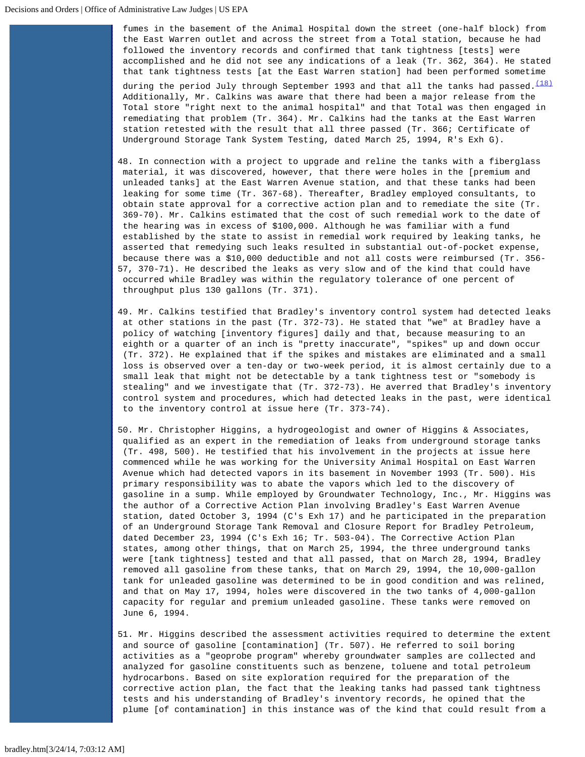fumes in the basement of the Animal Hospital down the street (one-half block) from the East Warren outlet and across the street from a Total station, because he had followed the inventory records and confirmed that tank tightness [tests] were accomplished and he did not see any indications of a leak (Tr. 362, 364). He stated that tank tightness tests [at the East Warren station] had been performed sometime

during the period July through September 1993 and that all the tanks had passed. $(18)$ Additionally, Mr. Calkins was aware that there had been a major release from the Total store "right next to the animal hospital" and that Total was then engaged in remediating that problem (Tr. 364). Mr. Calkins had the tanks at the East Warren station retested with the result that all three passed (Tr. 366; Certificate of Underground Storage Tank System Testing, dated March 25, 1994, R's Exh G).

- 48. In connection with a project to upgrade and reline the tanks with a fiberglass material, it was discovered, however, that there were holes in the [premium and unleaded tanks] at the East Warren Avenue station, and that these tanks had been leaking for some time (Tr. 367-68). Thereafter, Bradley employed consultants, to obtain state approval for a corrective action plan and to remediate the site (Tr. 369-70). Mr. Calkins estimated that the cost of such remedial work to the date of the hearing was in excess of \$100,000. Although he was familiar with a fund established by the state to assist in remedial work required by leaking tanks, he asserted that remedying such leaks resulted in substantial out-of-pocket expense, because there was a \$10,000 deductible and not all costs were reimbursed (Tr. 356- 57, 370-71). He described the leaks as very slow and of the kind that could have occurred while Bradley was within the regulatory tolerance of one percent of throughput plus 130 gallons (Tr. 371).
- 49. Mr. Calkins testified that Bradley's inventory control system had detected leaks at other stations in the past (Tr. 372-73). He stated that "we" at Bradley have a policy of watching [inventory figures] daily and that, because measuring to an eighth or a quarter of an inch is "pretty inaccurate", "spikes" up and down occur (Tr. 372). He explained that if the spikes and mistakes are eliminated and a small loss is observed over a ten-day or two-week period, it is almost certainly due to a small leak that might not be detectable by a tank tightness test or "somebody is stealing" and we investigate that (Tr. 372-73). He averred that Bradley's inventory control system and procedures, which had detected leaks in the past, were identical to the inventory control at issue here (Tr. 373-74).
- 50. Mr. Christopher Higgins, a hydrogeologist and owner of Higgins & Associates, qualified as an expert in the remediation of leaks from underground storage tanks (Tr. 498, 500). He testified that his involvement in the projects at issue here commenced while he was working for the University Animal Hospital on East Warren Avenue which had detected vapors in its basement in November 1993 (Tr. 500). His primary responsibility was to abate the vapors which led to the discovery of gasoline in a sump. While employed by Groundwater Technology, Inc., Mr. Higgins was the author of a Corrective Action Plan involving Bradley's East Warren Avenue station, dated October 3, 1994 (C's Exh 17) and he participated in the preparation of an Underground Storage Tank Removal and Closure Report for Bradley Petroleum, dated December 23, 1994 (C's Exh 16; Tr. 503-04). The Corrective Action Plan states, among other things, that on March 25, 1994, the three underground tanks were [tank tightness] tested and that all passed, that on March 28, 1994, Bradley removed all gasoline from these tanks, that on March 29, 1994, the 10,000-gallon tank for unleaded gasoline was determined to be in good condition and was relined, and that on May 17, 1994, holes were discovered in the two tanks of 4,000-gallon capacity for regular and premium unleaded gasoline. These tanks were removed on June 6, 1994.
- 51. Mr. Higgins described the assessment activities required to determine the extent and source of gasoline [contamination] (Tr. 507). He referred to soil boring activities as a "geoprobe program" whereby groundwater samples are collected and analyzed for gasoline constituents such as benzene, toluene and total petroleum hydrocarbons. Based on site exploration required for the preparation of the corrective action plan, the fact that the leaking tanks had passed tank tightness tests and his understanding of Bradley's inventory records, he opined that the plume [of contamination] in this instance was of the kind that could result from a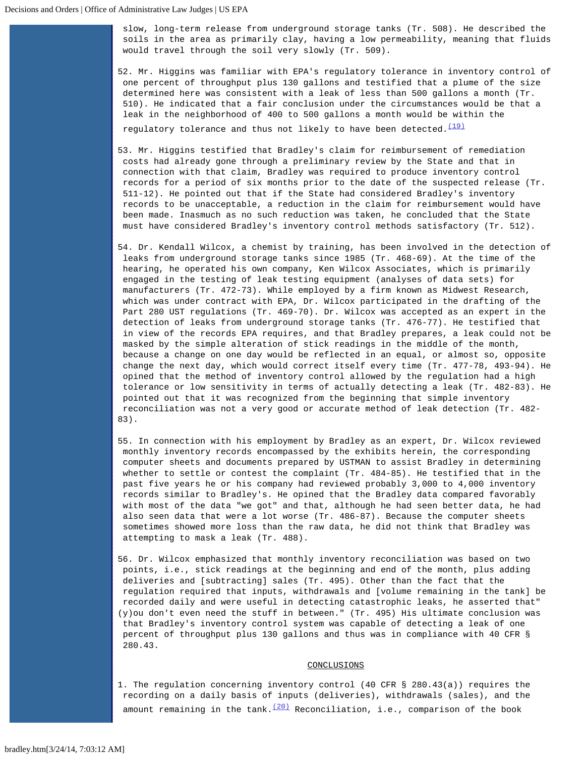slow, long-term release from underground storage tanks (Tr. 508). He described the soils in the area as primarily clay, having a low permeability, meaning that fluids would travel through the soil very slowly (Tr. 509).

52. Mr. Higgins was familiar with EPA's regulatory tolerance in inventory control of one percent of throughput plus 130 gallons and testified that a plume of the size determined here was consistent with a leak of less than 500 gallons a month (Tr. 510). He indicated that a fair conclusion under the circumstances would be that a leak in the neighborhood of 400 to 500 gallons a month would be within the regulatory tolerance and thus not likely to have been detected. $\frac{(19)}{(19)}$  $\frac{(19)}{(19)}$  $\frac{(19)}{(19)}$ 

53. Mr. Higgins testified that Bradley's claim for reimbursement of remediation costs had already gone through a preliminary review by the State and that in connection with that claim, Bradley was required to produce inventory control records for a period of six months prior to the date of the suspected release (Tr. 511-12). He pointed out that if the State had considered Bradley's inventory records to be unacceptable, a reduction in the claim for reimbursement would have been made. Inasmuch as no such reduction was taken, he concluded that the State must have considered Bradley's inventory control methods satisfactory (Tr. 512).

54. Dr. Kendall Wilcox, a chemist by training, has been involved in the detection of leaks from underground storage tanks since 1985 (Tr. 468-69). At the time of the hearing, he operated his own company, Ken Wilcox Associates, which is primarily engaged in the testing of leak testing equipment (analyses of data sets) for manufacturers (Tr. 472-73). While employed by a firm known as Midwest Research, which was under contract with EPA, Dr. Wilcox participated in the drafting of the Part 280 UST regulations (Tr. 469-70). Dr. Wilcox was accepted as an expert in the detection of leaks from underground storage tanks (Tr. 476-77). He testified that in view of the records EPA requires, and that Bradley prepares, a leak could not be masked by the simple alteration of stick readings in the middle of the month, because a change on one day would be reflected in an equal, or almost so, opposite change the next day, which would correct itself every time (Tr. 477-78, 493-94). He opined that the method of inventory control allowed by the regulation had a high tolerance or low sensitivity in terms of actually detecting a leak (Tr. 482-83). He pointed out that it was recognized from the beginning that simple inventory reconciliation was not a very good or accurate method of leak detection (Tr. 482- 83).

55. In connection with his employment by Bradley as an expert, Dr. Wilcox reviewed monthly inventory records encompassed by the exhibits herein, the corresponding computer sheets and documents prepared by USTMAN to assist Bradley in determining whether to settle or contest the complaint (Tr. 484-85). He testified that in the past five years he or his company had reviewed probably 3,000 to 4,000 inventory records similar to Bradley's. He opined that the Bradley data compared favorably with most of the data "we got" and that, although he had seen better data, he had also seen data that were a lot worse (Tr. 486-87). Because the computer sheets sometimes showed more loss than the raw data, he did not think that Bradley was attempting to mask a leak (Tr. 488).

56. Dr. Wilcox emphasized that monthly inventory reconciliation was based on two points, i.e., stick readings at the beginning and end of the month, plus adding deliveries and [subtracting] sales (Tr. 495). Other than the fact that the regulation required that inputs, withdrawals and [volume remaining in the tank] be recorded daily and were useful in detecting catastrophic leaks, he asserted that" (y)ou don't even need the stuff in between." (Tr. 495) His ultimate conclusion was that Bradley's inventory control system was capable of detecting a leak of one percent of throughput plus 130 gallons and thus was in compliance with 40 CFR § 280.43.

## CONCLUSIONS

1. The regulation concerning inventory control (40 CFR § 280.43(a)) requires the recording on a daily basis of inputs (deliveries), withdrawals (sales), and the amount remaining in the tank. $(20)$  Reconciliation, i.e., comparison of the book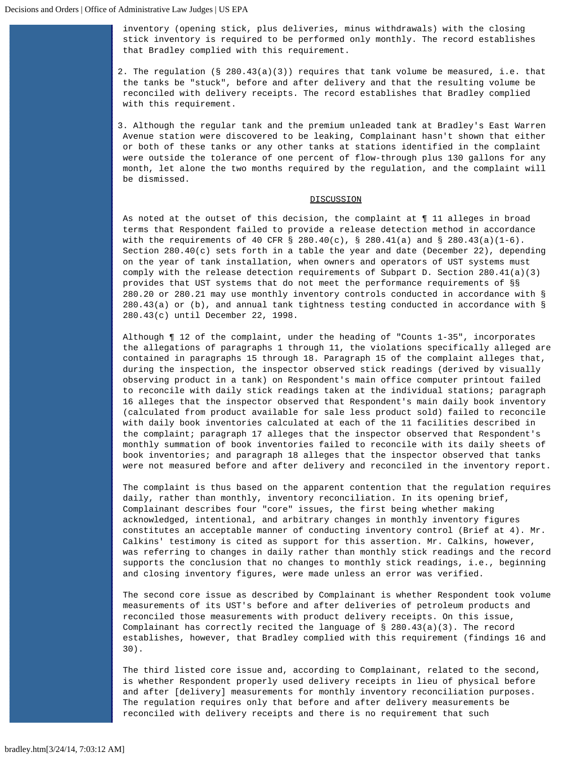inventory (opening stick, plus deliveries, minus withdrawals) with the closing stick inventory is required to be performed only monthly. The record establishes that Bradley complied with this requirement.

- 2. The regulation (§ 280.43(a)(3)) requires that tank volume be measured, i.e. that the tanks be "stuck", before and after delivery and that the resulting volume be reconciled with delivery receipts. The record establishes that Bradley complied with this requirement.
- 3. Although the regular tank and the premium unleaded tank at Bradley's East Warren Avenue station were discovered to be leaking, Complainant hasn't shown that either or both of these tanks or any other tanks at stations identified in the complaint were outside the tolerance of one percent of flow-through plus 130 gallons for any month, let alone the two months required by the regulation, and the complaint will be dismissed.

## **DISCUSSION**

As noted at the outset of this decision, the complaint at ¶ 11 alleges in broad terms that Respondent failed to provide a release detection method in accordance with the requirements of 40 CFR § 280.40(c), § 280.41(a) and § 280.43(a)(1-6). Section 280.40(c) sets forth in a table the year and date (December 22), depending on the year of tank installation, when owners and operators of UST systems must comply with the release detection requirements of Subpart D. Section 280.41(a)(3) provides that UST systems that do not meet the performance requirements of §§ 280.20 or 280.21 may use monthly inventory controls conducted in accordance with § 280.43(a) or (b), and annual tank tightness testing conducted in accordance with § 280.43(c) until December 22, 1998.

Although ¶ 12 of the complaint, under the heading of "Counts 1-35", incorporates the allegations of paragraphs 1 through 11, the violations specifically alleged are contained in paragraphs 15 through 18. Paragraph 15 of the complaint alleges that, during the inspection, the inspector observed stick readings (derived by visually observing product in a tank) on Respondent's main office computer printout failed to reconcile with daily stick readings taken at the individual stations; paragraph 16 alleges that the inspector observed that Respondent's main daily book inventory (calculated from product available for sale less product sold) failed to reconcile with daily book inventories calculated at each of the 11 facilities described in the complaint; paragraph 17 alleges that the inspector observed that Respondent's monthly summation of book inventories failed to reconcile with its daily sheets of book inventories; and paragraph 18 alleges that the inspector observed that tanks were not measured before and after delivery and reconciled in the inventory report.

The complaint is thus based on the apparent contention that the regulation requires daily, rather than monthly, inventory reconciliation. In its opening brief, Complainant describes four "core" issues, the first being whether making acknowledged, intentional, and arbitrary changes in monthly inventory figures constitutes an acceptable manner of conducting inventory control (Brief at 4). Mr. Calkins' testimony is cited as support for this assertion. Mr. Calkins, however, was referring to changes in daily rather than monthly stick readings and the record supports the conclusion that no changes to monthly stick readings, i.e., beginning and closing inventory figures, were made unless an error was verified.

The second core issue as described by Complainant is whether Respondent took volume measurements of its UST's before and after deliveries of petroleum products and reconciled those measurements with product delivery receipts. On this issue, Complainant has correctly recited the language of § 280.43(a)(3). The record establishes, however, that Bradley complied with this requirement (findings 16 and 30).

The third listed core issue and, according to Complainant, related to the second, is whether Respondent properly used delivery receipts in lieu of physical before and after [delivery] measurements for monthly inventory reconciliation purposes. The regulation requires only that before and after delivery measurements be reconciled with delivery receipts and there is no requirement that such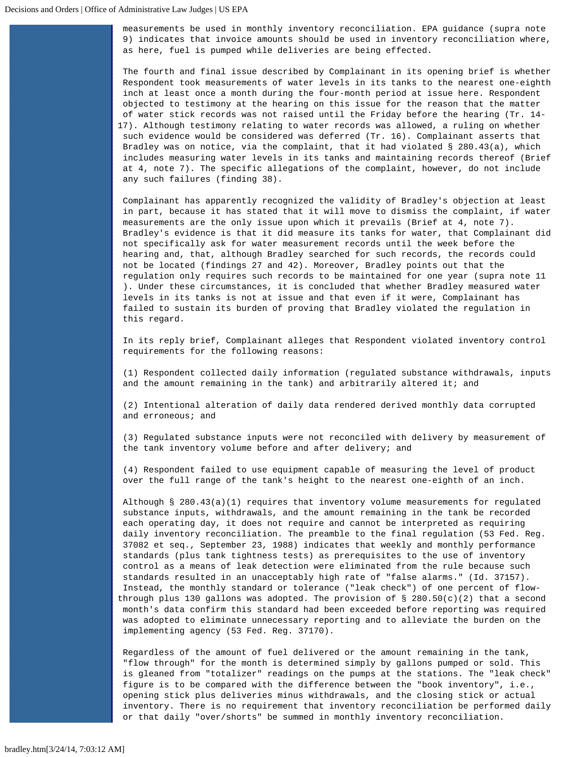measurements be used in monthly inventory reconciliation. EPA guidance (supra note 9) indicates that invoice amounts should be used in inventory reconciliation where, as here, fuel is pumped while deliveries are being effected.

The fourth and final issue described by Complainant in its opening brief is whether Respondent took measurements of water levels in its tanks to the nearest one-eighth inch at least once a month during the four-month period at issue here. Respondent objected to testimony at the hearing on this issue for the reason that the matter of water stick records was not raised until the Friday before the hearing (Tr. 14- 17). Although testimony relating to water records was allowed, a ruling on whether such evidence would be considered was deferred (Tr. 16). Complainant asserts that Bradley was on notice, via the complaint, that it had violated § 280.43(a), which includes measuring water levels in its tanks and maintaining records thereof (Brief at 4, note 7). The specific allegations of the complaint, however, do not include any such failures (finding 38).

Complainant has apparently recognized the validity of Bradley's objection at least in part, because it has stated that it will move to dismiss the complaint, if water measurements are the only issue upon which it prevails (Brief at 4, note 7). Bradley's evidence is that it did measure its tanks for water, that Complainant did not specifically ask for water measurement records until the week before the hearing and, that, although Bradley searched for such records, the records could not be located (findings 27 and 42). Moreover, Bradley points out that the regulation only requires such records to be maintained for one year (supra note 11 ). Under these circumstances, it is concluded that whether Bradley measured water levels in its tanks is not at issue and that even if it were, Complainant has failed to sustain its burden of proving that Bradley violated the regulation in this regard.

In its reply brief, Complainant alleges that Respondent violated inventory control requirements for the following reasons:

(1) Respondent collected daily information (regulated substance withdrawals, inputs and the amount remaining in the tank) and arbitrarily altered it; and

(2) Intentional alteration of daily data rendered derived monthly data corrupted and erroneous; and

(3) Regulated substance inputs were not reconciled with delivery by measurement of the tank inventory volume before and after delivery; and

(4) Respondent failed to use equipment capable of measuring the level of product over the full range of the tank's height to the nearest one-eighth of an inch.

Although  $\S$  280.43(a)(1) requires that inventory volume measurements for regulated substance inputs, withdrawals, and the amount remaining in the tank be recorded each operating day, it does not require and cannot be interpreted as requiring daily inventory reconciliation. The preamble to the final regulation (53 Fed. Reg. 37082 et seq., September 23, 1988) indicates that weekly and monthly performance standards (plus tank tightness tests) as prerequisites to the use of inventory control as a means of leak detection were eliminated from the rule because such standards resulted in an unacceptably high rate of "false alarms." (Id. 37157). Instead, the monthly standard or tolerance ("leak check") of one percent of flowthrough plus 130 gallons was adopted. The provision of § 280.50(c)(2) that a second month's data confirm this standard had been exceeded before reporting was required was adopted to eliminate unnecessary reporting and to alleviate the burden on the implementing agency (53 Fed. Reg. 37170).

Regardless of the amount of fuel delivered or the amount remaining in the tank, "flow through" for the month is determined simply by gallons pumped or sold. This is gleaned from "totalizer" readings on the pumps at the stations. The "leak check" figure is to be compared with the difference between the "book inventory", i.e., opening stick plus deliveries minus withdrawals, and the closing stick or actual inventory. There is no requirement that inventory reconciliation be performed daily or that daily "over/shorts" be summed in monthly inventory reconciliation.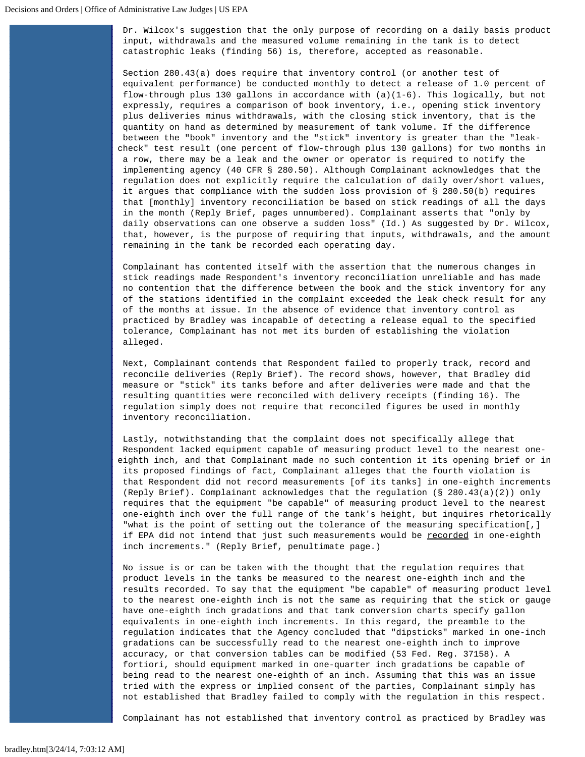Dr. Wilcox's suggestion that the only purpose of recording on a daily basis product input, withdrawals and the measured volume remaining in the tank is to detect catastrophic leaks (finding 56) is, therefore, accepted as reasonable.

Section 280.43(a) does require that inventory control (or another test of equivalent performance) be conducted monthly to detect a release of 1.0 percent of flow-through plus 130 gallons in accordance with (a)(1-6). This logically, but not expressly, requires a comparison of book inventory, i.e., opening stick inventory plus deliveries minus withdrawals, with the closing stick inventory, that is the quantity on hand as determined by measurement of tank volume. If the difference between the "book" inventory and the "stick" inventory is greater than the "leakcheck" test result (one percent of flow-through plus 130 gallons) for two months in a row, there may be a leak and the owner or operator is required to notify the implementing agency (40 CFR § 280.50). Although Complainant acknowledges that the regulation does not explicitly require the calculation of daily over/short values, it argues that compliance with the sudden loss provision of § 280.50(b) requires that [monthly] inventory reconciliation be based on stick readings of all the days in the month (Reply Brief, pages unnumbered). Complainant asserts that "only by daily observations can one observe a sudden loss" (Id.) As suggested by Dr. Wilcox, that, however, is the purpose of requiring that inputs, withdrawals, and the amount remaining in the tank be recorded each operating day.

Complainant has contented itself with the assertion that the numerous changes in stick readings made Respondent's inventory reconciliation unreliable and has made no contention that the difference between the book and the stick inventory for any of the stations identified in the complaint exceeded the leak check result for any of the months at issue. In the absence of evidence that inventory control as practiced by Bradley was incapable of detecting a release equal to the specified tolerance, Complainant has not met its burden of establishing the violation alleged.

Next, Complainant contends that Respondent failed to properly track, record and reconcile deliveries (Reply Brief). The record shows, however, that Bradley did measure or "stick" its tanks before and after deliveries were made and that the resulting quantities were reconciled with delivery receipts (finding 16). The regulation simply does not require that reconciled figures be used in monthly inventory reconciliation.

Lastly, notwithstanding that the complaint does not specifically allege that Respondent lacked equipment capable of measuring product level to the nearest oneeighth inch, and that Complainant made no such contention it its opening brief or in its proposed findings of fact, Complainant alleges that the fourth violation is that Respondent did not record measurements [of its tanks] in one-eighth increments (Reply Brief). Complainant acknowledges that the regulation (§ 280.43(a)(2)) only requires that the equipment "be capable" of measuring product level to the nearest one-eighth inch over the full range of the tank's height, but inquires rhetorically "what is the point of setting out the tolerance of the measuring specification[,] if EPA did not intend that just such measurements would be recorded in one-eighth inch increments." (Reply Brief, penultimate page.)

No issue is or can be taken with the thought that the regulation requires that product levels in the tanks be measured to the nearest one-eighth inch and the results recorded. To say that the equipment "be capable" of measuring product level to the nearest one-eighth inch is not the same as requiring that the stick or gauge have one-eighth inch gradations and that tank conversion charts specify gallon equivalents in one-eighth inch increments. In this regard, the preamble to the regulation indicates that the Agency concluded that "dipsticks" marked in one-inch gradations can be successfully read to the nearest one-eighth inch to improve accuracy, or that conversion tables can be modified (53 Fed. Reg. 37158). A fortiori, should equipment marked in one-quarter inch gradations be capable of being read to the nearest one-eighth of an inch. Assuming that this was an issue tried with the express or implied consent of the parties, Complainant simply has not established that Bradley failed to comply with the regulation in this respect.

Complainant has not established that inventory control as practiced by Bradley was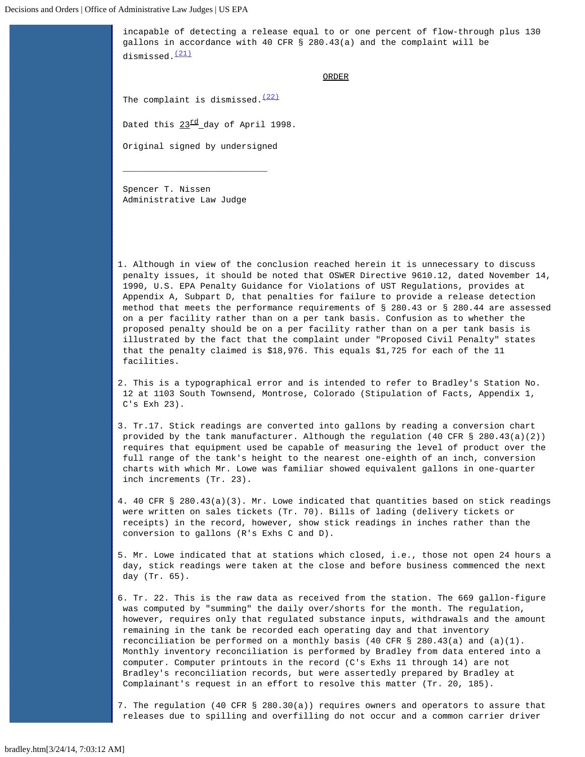incapable of detecting a release equal to or one percent of flow-through plus 130 gallons in accordance with 40 CFR § 280.43(a) and the complaint will be dismissed.<sup>[\(21\)](#page-19-0)</sup>

ORDER

The complaint is dismissed. $(22)$ 

Dated this  $23 \frac{\text{rd}}{\text{day}}$  of April 1998.

Original signed by undersigned

 $\overline{\phantom{a}}$  , and the contract of the contract of the contract of  $\overline{\phantom{a}}$ 

Spencer T. Nissen Administrative Law Judge

<span id="page-16-0"></span>1. Although in view of the conclusion reached herein it is unnecessary to discuss penalty issues, it should be noted that OSWER Directive 9610.12, dated November 14, 1990, U.S. EPA Penalty Guidance for Violations of UST Regulations, provides at Appendix A, Subpart D, that penalties for failure to provide a release detection method that meets the performance requirements of § 280.43 or § 280.44 are assessed on a per facility rather than on a per tank basis. Confusion as to whether the proposed penalty should be on a per facility rather than on a per tank basis is illustrated by the fact that the complaint under "Proposed Civil Penalty" states that the penalty claimed is \$18,976. This equals \$1,725 for each of the 11 facilities.

<span id="page-16-1"></span>2. This is a typographical error and is intended to refer to Bradley's Station No. 12 at 1103 South Townsend, Montrose, Colorado (Stipulation of Facts, Appendix 1, C's Exh 23).

<span id="page-16-2"></span>3. Tr.17. Stick readings are converted into gallons by reading a conversion chart provided by the tank manufacturer. Although the regulation (40 CFR § 280.43(a)(2)) requires that equipment used be capable of measuring the level of product over the full range of the tank's height to the nearest one-eighth of an inch, conversion charts with which Mr. Lowe was familiar showed equivalent gallons in one-quarter inch increments (Tr. 23).

<span id="page-16-3"></span>4. 40 CFR § 280.43(a)(3). Mr. Lowe indicated that quantities based on stick readings were written on sales tickets (Tr. 70). Bills of lading (delivery tickets or receipts) in the record, however, show stick readings in inches rather than the conversion to gallons (R's Exhs C and D).

<span id="page-16-4"></span>5. Mr. Lowe indicated that at stations which closed, i.e., those not open 24 hours a day, stick readings were taken at the close and before business commenced the next day (Tr. 65).

<span id="page-16-5"></span>6. Tr. 22. This is the raw data as received from the station. The 669 gallon-figure was computed by "summing" the daily over/shorts for the month. The regulation, however, requires only that regulated substance inputs, withdrawals and the amount remaining in the tank be recorded each operating day and that inventory reconciliation be performed on a monthly basis (40 CFR § 280.43(a) and (a)(1). Monthly inventory reconciliation is performed by Bradley from data entered into a computer. Computer printouts in the record (C's Exhs 11 through 14) are not Bradley's reconciliation records, but were assertedly prepared by Bradley at Complainant's request in an effort to resolve this matter (Tr. 20, 185).

<span id="page-16-6"></span>7. The regulation (40 CFR § 280.30(a)) requires owners and operators to assure that releases due to spilling and overfilling do not occur and a common carrier driver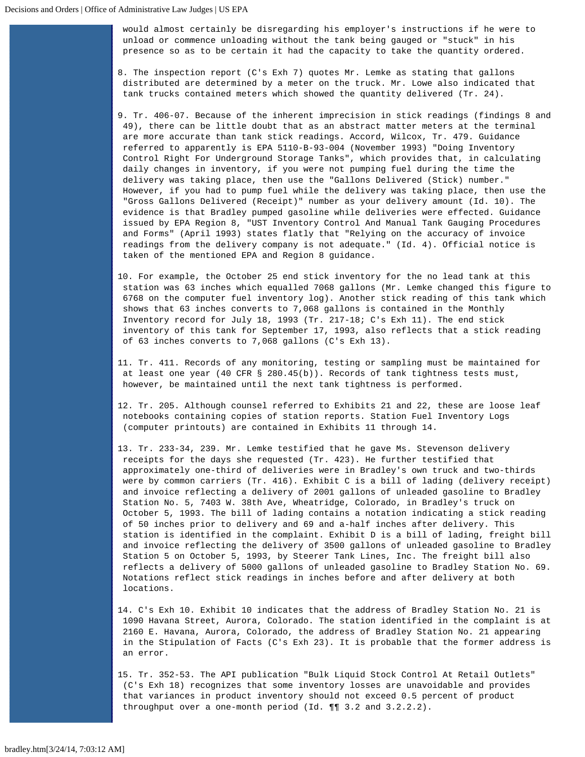would almost certainly be disregarding his employer's instructions if he were to unload or commence unloading without the tank being gauged or "stuck" in his presence so as to be certain it had the capacity to take the quantity ordered.

- <span id="page-17-0"></span>8. The inspection report (C's Exh 7) quotes Mr. Lemke as stating that gallons distributed are determined by a meter on the truck. Mr. Lowe also indicated that tank trucks contained meters which showed the quantity delivered (Tr. 24).
- <span id="page-17-1"></span>9. Tr. 406-07. Because of the inherent imprecision in stick readings (findings 8 and 49), there can be little doubt that as an abstract matter meters at the terminal are more accurate than tank stick readings. Accord, Wilcox, Tr. 479. Guidance referred to apparently is EPA 5110-B-93-004 (November 1993) "Doing Inventory Control Right For Underground Storage Tanks", which provides that, in calculating daily changes in inventory, if you were not pumping fuel during the time the delivery was taking place, then use the "Gallons Delivered (Stick) number." However, if you had to pump fuel while the delivery was taking place, then use the "Gross Gallons Delivered (Receipt)" number as your delivery amount (Id. 10). The evidence is that Bradley pumped gasoline while deliveries were effected. Guidance issued by EPA Region 8, "UST Inventory Control And Manual Tank Gauging Procedures and Forms" (April 1993) states flatly that "Relying on the accuracy of invoice readings from the delivery company is not adequate." (Id. 4). Official notice is taken of the mentioned EPA and Region 8 guidance.
- <span id="page-17-2"></span>10. For example, the October 25 end stick inventory for the no lead tank at this station was 63 inches which equalled 7068 gallons (Mr. Lemke changed this figure to 6768 on the computer fuel inventory log). Another stick reading of this tank which shows that 63 inches converts to 7,068 gallons is contained in the Monthly Inventory record for July 18, 1993 (Tr. 217-18; C's Exh 11). The end stick inventory of this tank for September 17, 1993, also reflects that a stick reading of 63 inches converts to 7,068 gallons (C's Exh 13).
- <span id="page-17-3"></span>11. Tr. 411. Records of any monitoring, testing or sampling must be maintained for at least one year (40 CFR § 280.45(b)). Records of tank tightness tests must, however, be maintained until the next tank tightness is performed.
- <span id="page-17-4"></span>12. Tr. 205. Although counsel referred to Exhibits 21 and 22, these are loose leaf notebooks containing copies of station reports. Station Fuel Inventory Logs (computer printouts) are contained in Exhibits 11 through 14.
- <span id="page-17-5"></span>13. Tr. 233-34, 239. Mr. Lemke testified that he gave Ms. Stevenson delivery receipts for the days she requested (Tr. 423). He further testified that approximately one-third of deliveries were in Bradley's own truck and two-thirds were by common carriers (Tr. 416). Exhibit C is a bill of lading (delivery receipt) and invoice reflecting a delivery of 2001 gallons of unleaded gasoline to Bradley Station No. 5, 7403 W. 38th Ave, Wheatridge, Colorado, in Bradley's truck on October 5, 1993. The bill of lading contains a notation indicating a stick reading of 50 inches prior to delivery and 69 and a-half inches after delivery. This station is identified in the complaint. Exhibit D is a bill of lading, freight bill and invoice reflecting the delivery of 3500 gallons of unleaded gasoline to Bradley Station 5 on October 5, 1993, by Steerer Tank Lines, Inc. The freight bill also reflects a delivery of 5000 gallons of unleaded gasoline to Bradley Station No. 69. Notations reflect stick readings in inches before and after delivery at both locations.
- <span id="page-17-6"></span>14. C's Exh 10. Exhibit 10 indicates that the address of Bradley Station No. 21 is 1090 Havana Street, Aurora, Colorado. The station identified in the complaint is at 2160 E. Havana, Aurora, Colorado, the address of Bradley Station No. 21 appearing in the Stipulation of Facts (C's Exh 23). It is probable that the former address is an error.
- <span id="page-17-7"></span>15. Tr. 352-53. The API publication "Bulk Liquid Stock Control At Retail Outlets" (C's Exh 18) recognizes that some inventory losses are unavoidable and provides that variances in product inventory should not exceed 0.5 percent of product throughput over a one-month period (Id. ¶¶ 3.2 and 3.2.2.2).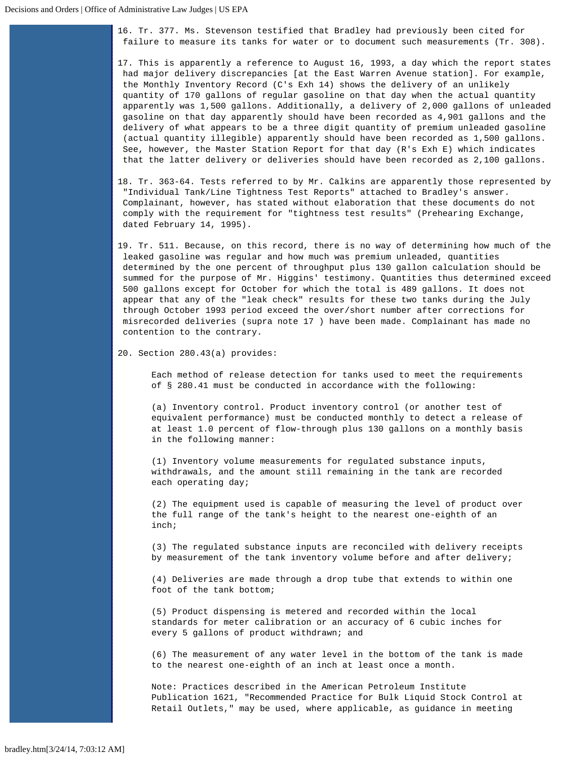<span id="page-18-0"></span>16. Tr. 377. Ms. Stevenson testified that Bradley had previously been cited for failure to measure its tanks for water or to document such measurements (Tr. 308).

<span id="page-18-1"></span>17. This is apparently a reference to August 16, 1993, a day which the report states had major delivery discrepancies [at the East Warren Avenue station]. For example, the Monthly Inventory Record (C's Exh 14) shows the delivery of an unlikely quantity of 170 gallons of regular gasoline on that day when the actual quantity apparently was 1,500 gallons. Additionally, a delivery of 2,000 gallons of unleaded gasoline on that day apparently should have been recorded as 4,901 gallons and the delivery of what appears to be a three digit quantity of premium unleaded gasoline (actual quantity illegible) apparently should have been recorded as 1,500 gallons. See, however, the Master Station Report for that day (R's Exh E) which indicates that the latter delivery or deliveries should have been recorded as 2,100 gallons.

<span id="page-18-2"></span>18. Tr. 363-64. Tests referred to by Mr. Calkins are apparently those represented by "Individual Tank/Line Tightness Test Reports" attached to Bradley's answer. Complainant, however, has stated without elaboration that these documents do not comply with the requirement for "tightness test results" (Prehearing Exchange, dated February 14, 1995).

<span id="page-18-3"></span>19. Tr. 511. Because, on this record, there is no way of determining how much of the leaked gasoline was regular and how much was premium unleaded, quantities determined by the one percent of throughput plus 130 gallon calculation should be summed for the purpose of Mr. Higgins' testimony. Quantities thus determined exceed 500 gallons except for October for which the total is 489 gallons. It does not appear that any of the "leak check" results for these two tanks during the July through October 1993 period exceed the over/short number after corrections for misrecorded deliveries (supra note 17 ) have been made. Complainant has made no contention to the contrary.

<span id="page-18-4"></span>20. Section 280.43(a) provides:

Each method of release detection for tanks used to meet the requirements of § 280.41 must be conducted in accordance with the following:

(a) Inventory control. Product inventory control (or another test of equivalent performance) must be conducted monthly to detect a release of at least 1.0 percent of flow-through plus 130 gallons on a monthly basis in the following manner:

(1) Inventory volume measurements for regulated substance inputs, withdrawals, and the amount still remaining in the tank are recorded each operating day;

(2) The equipment used is capable of measuring the level of product over the full range of the tank's height to the nearest one-eighth of an inch;

(3) The regulated substance inputs are reconciled with delivery receipts by measurement of the tank inventory volume before and after delivery;

(4) Deliveries are made through a drop tube that extends to within one foot of the tank bottom;

(5) Product dispensing is metered and recorded within the local standards for meter calibration or an accuracy of 6 cubic inches for every 5 gallons of product withdrawn; and

(6) The measurement of any water level in the bottom of the tank is made to the nearest one-eighth of an inch at least once a month.

Note: Practices described in the American Petroleum Institute Publication 1621, "Recommended Practice for Bulk Liquid Stock Control at Retail Outlets," may be used, where applicable, as guidance in meeting